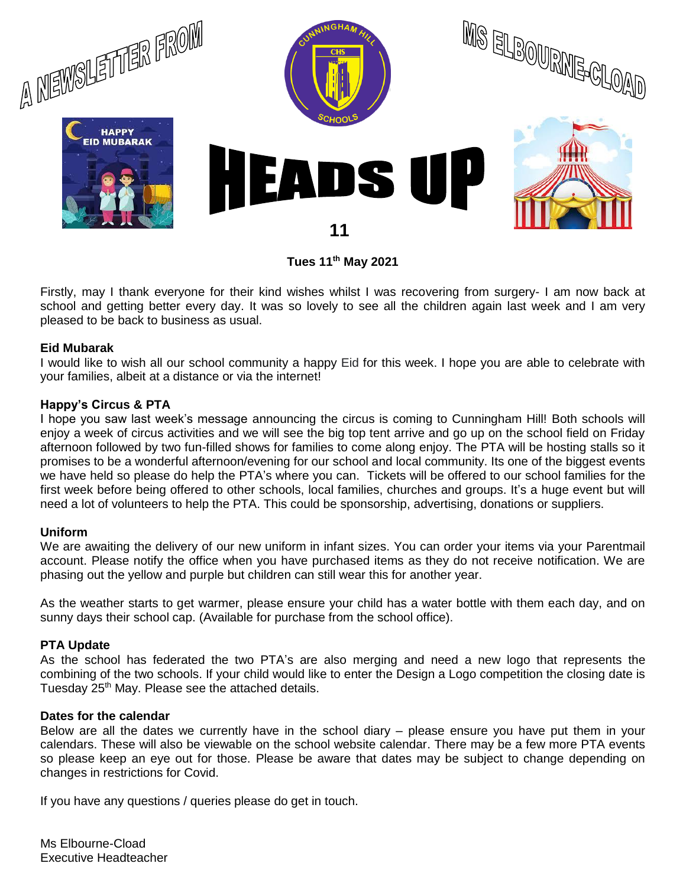

**Tues 11th May 2021**

Firstly, may I thank everyone for their kind wishes whilst I was recovering from surgery- I am now back at school and getting better every day. It was so lovely to see all the children again last week and I am very pleased to be back to business as usual.

#### **Eid Mubarak**

I would like to wish all our school community a happy Eid for this week. I hope you are able to celebrate with your families, albeit at a distance or via the internet!

#### **Happy's Circus & PTA**

I hope you saw last week's message announcing the circus is coming to Cunningham Hill! Both schools will enjoy a week of circus activities and we will see the big top tent arrive and go up on the school field on Friday afternoon followed by two fun-filled shows for families to come along enjoy. The PTA will be hosting stalls so it promises to be a wonderful afternoon/evening for our school and local community. Its one of the biggest events we have held so please do help the PTA's where you can. Tickets will be offered to our school families for the first week before being offered to other schools, local families, churches and groups. It's a huge event but will need a lot of volunteers to help the PTA. This could be sponsorship, advertising, donations or suppliers.

#### **Uniform**

We are awaiting the delivery of our new uniform in infant sizes. You can order your items via your Parentmail account. Please notify the office when you have purchased items as they do not receive notification. We are phasing out the yellow and purple but children can still wear this for another year.

As the weather starts to get warmer, please ensure your child has a water bottle with them each day, and on sunny days their school cap. (Available for purchase from the school office).

#### **PTA Update**

As the school has federated the two PTA's are also merging and need a new logo that represents the combining of the two schools. If your child would like to enter the Design a Logo competition the closing date is Tuesday 25<sup>th</sup> May. Please see the attached details.

#### **Dates for the calendar**

Below are all the dates we currently have in the school diary – please ensure you have put them in your calendars. These will also be viewable on the school website calendar. There may be a few more PTA events so please keep an eye out for those. Please be aware that dates may be subject to change depending on changes in restrictions for Covid.

If you have any questions / queries please do get in touch.

Ms Elbourne-Cload Executive Headteacher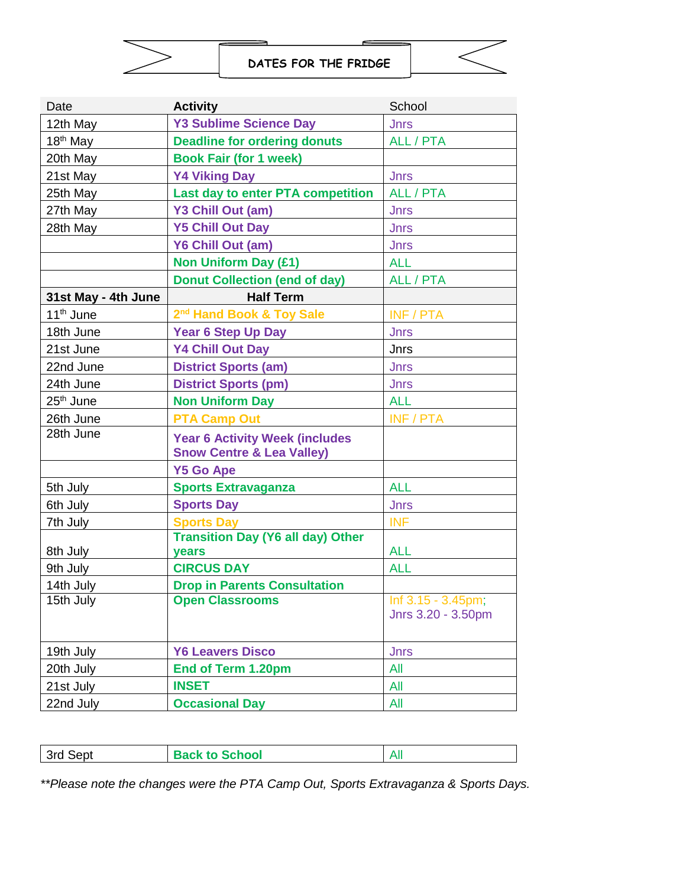

**DATES FOR THE FRIDGE**

| Date                                    | <b>Activity</b>                                                               | School                                   |
|-----------------------------------------|-------------------------------------------------------------------------------|------------------------------------------|
| 12th May                                | <b>Y3 Sublime Science Day</b>                                                 | <b>Jnrs</b>                              |
| $18th$ May                              | <b>Deadline for ordering donuts</b>                                           | ALL / PTA                                |
| 20th May                                | <b>Book Fair (for 1 week)</b>                                                 |                                          |
| 21st May                                | <b>Y4 Viking Day</b>                                                          | <b>Jnrs</b>                              |
| 25th May                                | <b>Last day to enter PTA competition</b>                                      | ALL / PTA                                |
| 27th May                                | Y3 Chill Out (am)                                                             | <b>Jnrs</b>                              |
| 28th May                                | <b>Y5 Chill Out Day</b>                                                       | <b>Jnrs</b>                              |
|                                         | Y6 Chill Out (am)                                                             | <b>Jnrs</b>                              |
|                                         | <b>Non Uniform Day (£1)</b>                                                   | <b>ALL</b>                               |
|                                         | <b>Donut Collection (end of day)</b>                                          | ALL / PTA                                |
| 31st May - 4th June<br><b>Half Term</b> |                                                                               |                                          |
| 11 <sup>th</sup> June                   | 2 <sup>nd</sup> Hand Book & Toy Sale                                          | <b>INF / PTA</b>                         |
| 18th June                               | <b>Year 6 Step Up Day</b>                                                     | <b>Jnrs</b>                              |
| 21st June                               | <b>Y4 Chill Out Day</b>                                                       | Jnrs                                     |
| 22nd June                               | <b>District Sports (am)</b>                                                   | <b>Jnrs</b>                              |
| 24th June                               | <b>District Sports (pm)</b>                                                   | <b>Jnrs</b>                              |
| 25 <sup>th</sup> June                   | <b>Non Uniform Day</b>                                                        | <b>ALL</b>                               |
| 26th June                               | <b>PTA Camp Out</b>                                                           | INF / PTA                                |
| 28th June                               | <b>Year 6 Activity Week (includes</b><br><b>Snow Centre &amp; Lea Valley)</b> |                                          |
|                                         | <b>Y5 Go Ape</b>                                                              |                                          |
| 5th July                                | <b>Sports Extravaganza</b>                                                    | <b>ALL</b>                               |
| 6th July                                | <b>Sports Day</b>                                                             | <b>Jnrs</b>                              |
| 7th July                                | <b>Sports Day</b>                                                             | <b>INF</b>                               |
|                                         | <b>Transition Day (Y6 all day) Other</b>                                      |                                          |
| 8th July                                | years                                                                         | <b>ALL</b>                               |
| 9th July                                | <b>CIRCUS DAY</b>                                                             | <b>ALL</b>                               |
| 14th July                               | <b>Drop in Parents Consultation</b>                                           |                                          |
| 15th July                               | <b>Open Classrooms</b>                                                        | Inf 3.15 - 3.45pm;<br>Jnrs 3.20 - 3.50pm |
| 19th July                               | <b>Y6 Leavers Disco</b>                                                       | <b>Jnrs</b>                              |
| 20th July                               | <b>End of Term 1.20pm</b>                                                     | All                                      |
| 21st July                               | <b>INSET</b>                                                                  | All                                      |
| 22nd July                               | <b>Occasional Day</b>                                                         | All                                      |

| 3rd Sept | <b>Back to School</b> |  |
|----------|-----------------------|--|

*\*\*Please note the changes were the PTA Camp Out, Sports Extravaganza & Sports Days.*